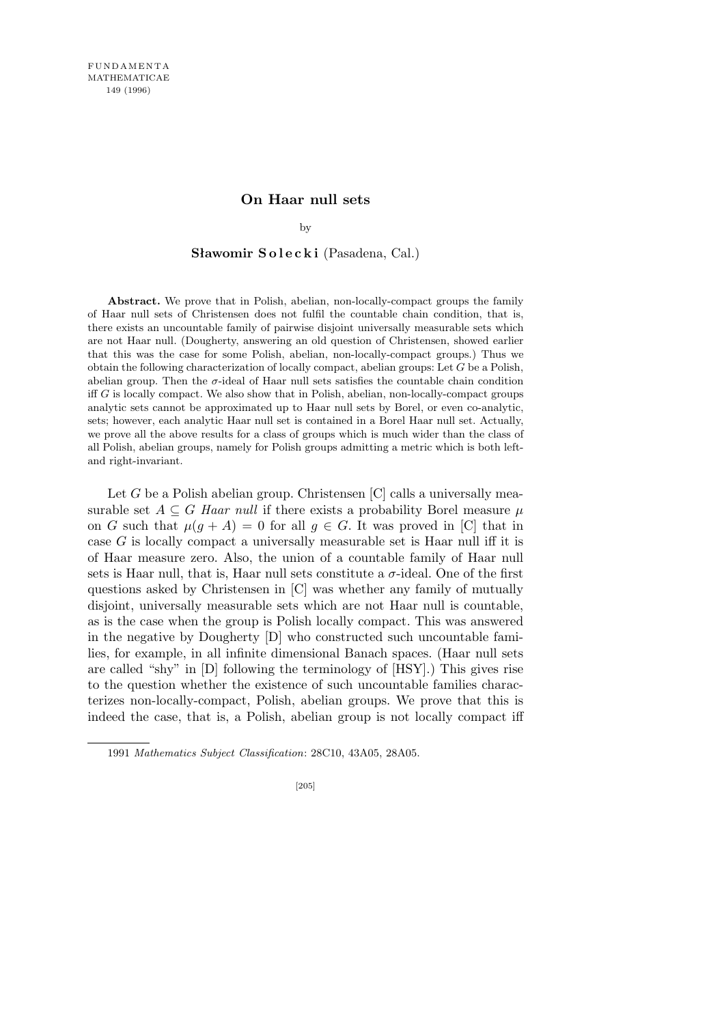## **On Haar null sets**

by

## Sławomir Solecki (Pasadena, Cal.)

**Abstract.** We prove that in Polish, abelian, non-locally-compact groups the family of Haar null sets of Christensen does not fulfil the countable chain condition, that is, there exists an uncountable family of pairwise disjoint universally measurable sets which are not Haar null. (Dougherty, answering an old question of Christensen, showed earlier that this was the case for some Polish, abelian, non-locally-compact groups.) Thus we obtain the following characterization of locally compact, abelian groups: Let *G* be a Polish, abelian group. Then the  $\sigma$ -ideal of Haar null sets satisfies the countable chain condition iff *G* is locally compact. We also show that in Polish, abelian, non-locally-compact groups analytic sets cannot be approximated up to Haar null sets by Borel, or even co-analytic, sets; however, each analytic Haar null set is contained in a Borel Haar null set. Actually, we prove all the above results for a class of groups which is much wider than the class of all Polish, abelian groups, namely for Polish groups admitting a metric which is both leftand right-invariant.

Let *G* be a Polish abelian group. Christensen [C] calls a universally measurable set  $A \subseteq G$  *Haar null* if there exists a probability Borel measure  $\mu$ on *G* such that  $\mu(q + A) = 0$  for all  $q \in G$ . It was proved in [C] that in case *G* is locally compact a universally measurable set is Haar null iff it is of Haar measure zero. Also, the union of a countable family of Haar null sets is Haar null, that is, Haar null sets constitute a  $\sigma$ -ideal. One of the first questions asked by Christensen in [C] was whether any family of mutually disjoint, universally measurable sets which are not Haar null is countable, as is the case when the group is Polish locally compact. This was answered in the negative by Dougherty  $[D]$  who constructed such uncountable families, for example, in all infinite dimensional Banach spaces. (Haar null sets are called "shy" in [D] following the terminology of [HSY].) This gives rise to the question whether the existence of such uncountable families characterizes non-locally-compact, Polish, abelian groups. We prove that this is indeed the case, that is, a Polish, abelian group is not locally compact iff

<sup>1991</sup> *Mathematics Subject Classification*: 28C10, 43A05, 28A05.

<sup>[205]</sup>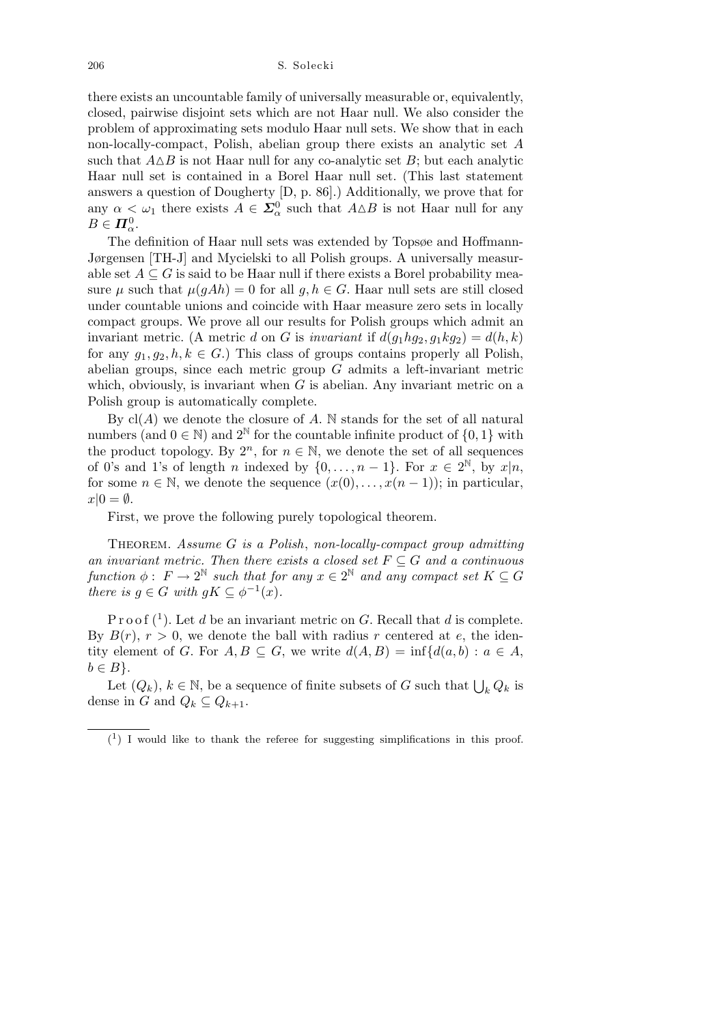206 S. Solecki

there exists an uncountable family of universally measurable or, equivalently, closed, pairwise disjoint sets which are not Haar null. We also consider the problem of approximating sets modulo Haar null sets. We show that in each non-locally-compact, Polish, abelian group there exists an analytic set *A* such that  $A \Delta B$  is not Haar null for any co-analytic set *B*; but each analytic Haar null set is contained in a Borel Haar null set. (This last statement answers a question of Dougherty [D, p. 86].) Additionally, we prove that for any  $\alpha < \omega_1$  there exists  $A \in \Sigma^0_\alpha$  such that  $A \triangle B$  is not Haar null for any  $B \in \mathbf{\Pi}_{\alpha}^0$ .

The definition of Haar null sets was extended by Topsøe and Hoffmann-Jørgensen [TH-J] and Mycielski to all Polish groups. A universally measurable set  $A \subseteq G$  is said to be Haar null if there exists a Borel probability measure  $\mu$  such that  $\mu(gAh) = 0$  for all  $g, h \in G$ . Haar null sets are still closed under countable unions and coincide with Haar measure zero sets in locally compact groups. We prove all our results for Polish groups which admit an invariant metric. (A metric *d* on *G* is *invariant* if  $d(q_1 h q_2, q_1 k q_2) = d(h, k)$ for any  $g_1, g_2, h, k \in G$ .) This class of groups contains properly all Polish, abelian groups, since each metric group *G* admits a left-invariant metric which, obviously, is invariant when *G* is abelian. Any invariant metric on a Polish group is automatically complete.

By  $cl(A)$  we denote the closure of  $A$ . N stands for the set of all natural numbers (and  $0 \in \mathbb{N}$ ) and  $2^{\mathbb{N}}$  for the countable infinite product of  $\{0, 1\}$  with the product topology. By  $2^n$ , for  $n \in \mathbb{N}$ , we denote the set of all sequences of 0's and 1's of length *n* indexed by  $\{0, \ldots, n-1\}$ . For  $x \in 2^{\mathbb{N}}$ , by  $x|n$ , for some  $n \in \mathbb{N}$ , we denote the sequence  $(x(0), \ldots, x(n-1))$ ; in particular,  $x|0 = \emptyset$ .

First, we prove the following purely topological theorem.

Theorem. *Assume G is a Polish*, *non-locally-compact group admitting an invariant metric. Then there exists a closed set*  $F \subseteq G$  *and a continuous function*  $\phi: F \to 2^{\mathbb{N}}$  *such that for any*  $x \in 2^{\mathbb{N}}$  *and any compact set*  $K \subseteq G$ *there is*  $g \in G$  *with*  $gK \subseteq \phi^{-1}(x)$ *.* 

P r o o f  $(1)$ . Let *d* be an invariant metric on *G*. Recall that *d* is complete. By  $B(r)$ ,  $r > 0$ , we denote the ball with radius r centered at *e*, the identity element of *G*. For  $A, B \subseteq G$ , we write  $d(A, B) = \inf \{d(a, b) : a \in A$ ,  $b \in B$ .

Let  $(Q_k)$ ,  $k \in \mathbb{N}$ , be a sequence of finite subsets of *G* such that  $\bigcup_k Q_k$  is dense in *G* and  $Q_k \subseteq Q_{k+1}$ .

 $(1)$  I would like to thank the referee for suggesting simplifications in this proof.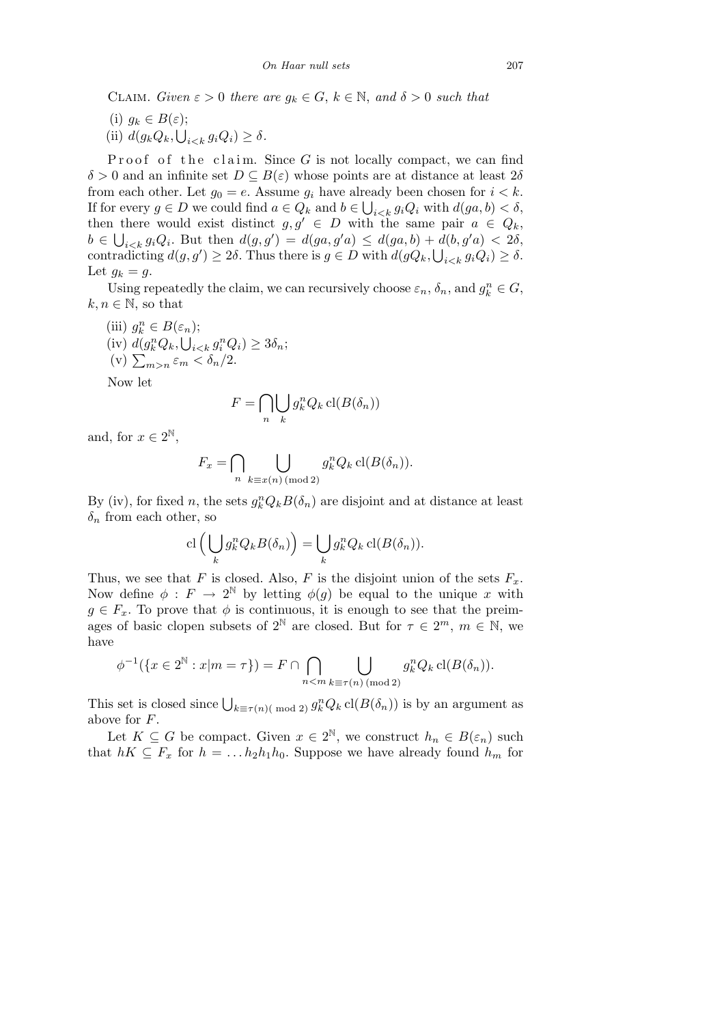CLAIM. *Given*  $\varepsilon > 0$  *there are*  $g_k \in G$ ,  $k \in \mathbb{N}$ , and  $\delta > 0$  *such that* 

(i)  $g_k$  ∈  $B(ε)$ ;  $(iii)$   $d(g_k Q_k, \bigcup_{i \leq k} g_i Q_i) \geq \delta.$ 

Proof of the claim. Since  $G$  is not locally compact, we can find  $\delta > 0$  and an infinite set  $D \subseteq B(\varepsilon)$  whose points are at distance at least  $2\delta$ from each other. Let  $g_0 = e$ . Assume  $g_i$  have already been chosen for  $i < k$ . If for every  $g \in D$  we could find  $a \in Q_k$  and  $b \in \bigcup_{i \leq k} g_i Q_i$  with  $d(ga, b) < \delta$ , then there would exist distinct  $g, g' \in D$  with the same pair  $a \in Q_k$ ,  $b \in \bigcup_{i \leq k} g_i Q_i$ . But then  $d(g, g') = d(ga, g'a) \leq d(ga, b) + d(b, g'a) < 2\delta$ , contradicting  $d(g, g') \geq 2\delta$ . Thus there is  $g \in D$  with  $d(gQ_k, \bigcup_{i \leq k} g_i Q_i) \geq \delta$ . Let  $g_k = g$ .

Using repeatedly the claim, we can recursively choose  $\varepsilon_n$ ,  $\delta_n$ , and  $g_k^n \in G$ ,  $k, n \in \mathbb{N}$ , so that

(iii)  $g_k^n \in B(\varepsilon_n);$  $(iv)$   $d(g_{k}^{n}Q_{k},$  $\frac{5}{1}n$  $a_{i \lt k}$   $g_i^n Q_i$ )  $\geq 3\delta_n$ ;  $\sum_{m>n}^{N} \varepsilon_m \varepsilon_m < \delta_n/2.$ Now let

 $F =$  $\sim$ *n*  $\mathbf{r}$ *k*  $g_k^n Q_k$  cl( $B(\delta_n)$ )

and, for  $x \in 2^{\mathbb{N}}$ ,

$$
F_x = \bigcap_{n} \bigcup_{k \equiv x(n) \, (\text{mod } 2)} g_k^n Q_k \, \text{cl}(B(\delta_n)).
$$

By (iv), for fixed *n*, the sets  $g_k^n Q_k B(\delta_n)$  are disjoint and at distance at least  $\delta_n$  from each other, so

$$
\mathrm{cl}\left(\bigcup_k g_k^n Q_k B(\delta_n)\right) = \bigcup_k g_k^n Q_k \, \mathrm{cl}(B(\delta_n)).
$$

Thus, we see that *F* is closed. Also, *F* is the disjoint union of the sets  $F_x$ . Now define  $\phi : F \to 2^{\mathbb{N}}$  by letting  $\phi(g)$  be equal to the unique x with  $g \in F_x$ . To prove that  $\phi$  is continuous, it is enough to see that the preimages of basic clopen subsets of  $2^{\mathbb{N}}$  are closed. But for  $\tau \in 2^m$ ,  $m \in \mathbb{N}$ , we have  $\sim$  $\mathbf{r}$ 

$$
\phi^{-1}(\lbrace x \in 2^{\mathbb{N}} : x | m = \tau \rbrace) = F \cap \bigcap_{n < m} \bigcup_{k \equiv \tau(n) \pmod{2}} g_k^n Q_k \operatorname{cl}(B(\delta_n)).
$$

This set is closed since  $\bigcup_{k \equiv \tau(n) (\bmod 2)} g_k^n Q_k$  cl( $B(\delta_n)$ ) is by an argument as above for *F*.

Let  $K \subseteq G$  be compact. Given  $x \in 2^N$ , we construct  $h_n \in B(\varepsilon_n)$  such that  $hK \subseteq F_x$  for  $h = \ldots h_2h_1h_0$ . Suppose we have already found  $h_m$  for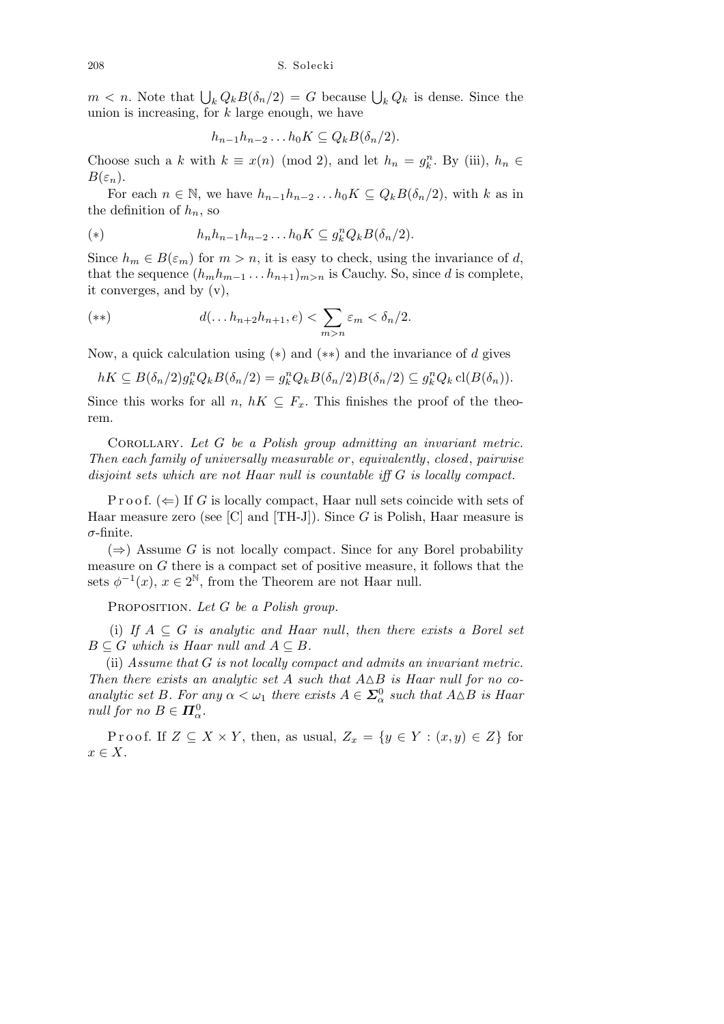$m < n$ . Note that  $\bigcup_k Q_k B(\delta_n/2) = G$  because  $\bigcup_k Q_k$  is dense. Since the union is increasing, for *k* large enough, we have

$$
h_{n-1}h_{n-2}\dots h_0K\subseteq Q_kB(\delta_n/2).
$$

Choose such a *k* with  $k \equiv x(n) \pmod{2}$ , and let  $h_n = g_k^n$ . By (iii),  $h_n \in$  $B(\varepsilon_n)$ .

For each  $n \in \mathbb{N}$ , we have  $h_{n-1}h_{n-2} \ldots h_0K \subseteq Q_kB(\delta_n/2)$ , with *k* as in the definition of  $h_n$ , so

(\*) 
$$
h_n h_{n-1} h_{n-2} \dots h_0 K \subseteq g_k^n Q_k B(\delta_n/2).
$$

Since  $h_m \in B(\varepsilon_m)$  for  $m > n$ , it is easy to check, using the invariance of *d*, that the sequence  $(h_m h_{m-1} \ldots h_{n+1})_{m>n}$  is Cauchy. So, since *d* is complete, it converges, and by (v),

(\*\*) 
$$
d(\ldots h_{n+2}h_{n+1}, e) < \sum_{m > n} \varepsilon_m < \delta_n/2.
$$

Now, a quick calculation using (*∗*) and (*∗∗*) and the invariance of *d* gives

$$
hK \subseteq B(\delta_n/2)g_k^n Q_k B(\delta_n/2) = g_k^n Q_k B(\delta_n/2) B(\delta_n/2) \subseteq g_k^n Q_k \operatorname{cl}(B(\delta_n)).
$$

Since this works for all *n*,  $hK \subseteq F_x$ . This finishes the proof of the theorem.

Corollary. *Let G be a Polish group admitting an invariant metric. Then each family of universally measurable or* , *equivalently*, *closed*, *pairwise disjoint sets which are not Haar null is countable iff G is locally compact.*

P r o o f.  $(\Leftarrow)$  If *G* is locally compact, Haar null sets coincide with sets of Haar measure zero (see [C] and [TH-J]). Since *G* is Polish, Haar measure is *σ*-finite.

(*⇒*) Assume *G* is not locally compact. Since for any Borel probability measure on *G* there is a compact set of positive measure, it follows that the sets  $\phi^{-1}(x)$ ,  $x \in 2^{\mathbb{N}}$ , from the Theorem are not Haar null.

Proposition. *Let G be a Polish group.*

(i) If  $A \subseteq G$  *is analytic and Haar null, then there exists a Borel set*  $B \subseteq G$  *which is Haar null and*  $A \subseteq B$ *.* 

(ii) *Assume that G is not locally compact and admits an invariant metric. Then there exists an analytic set*  $A$  *such that*  $A \triangle B$  *is Haar null for no coanalytic set B. For any*  $\alpha < \omega_1$  *there exists*  $A \in \Sigma^0_\alpha$  *such that*  $A \triangle B$  *is Haar null for no*  $B \in \mathbf{\Pi}_{\alpha}^0$ .

Proof. If  $Z \subseteq X \times Y$ , then, as usual,  $Z_x = \{y \in Y : (x, y) \in Z\}$  for *x ∈ X*.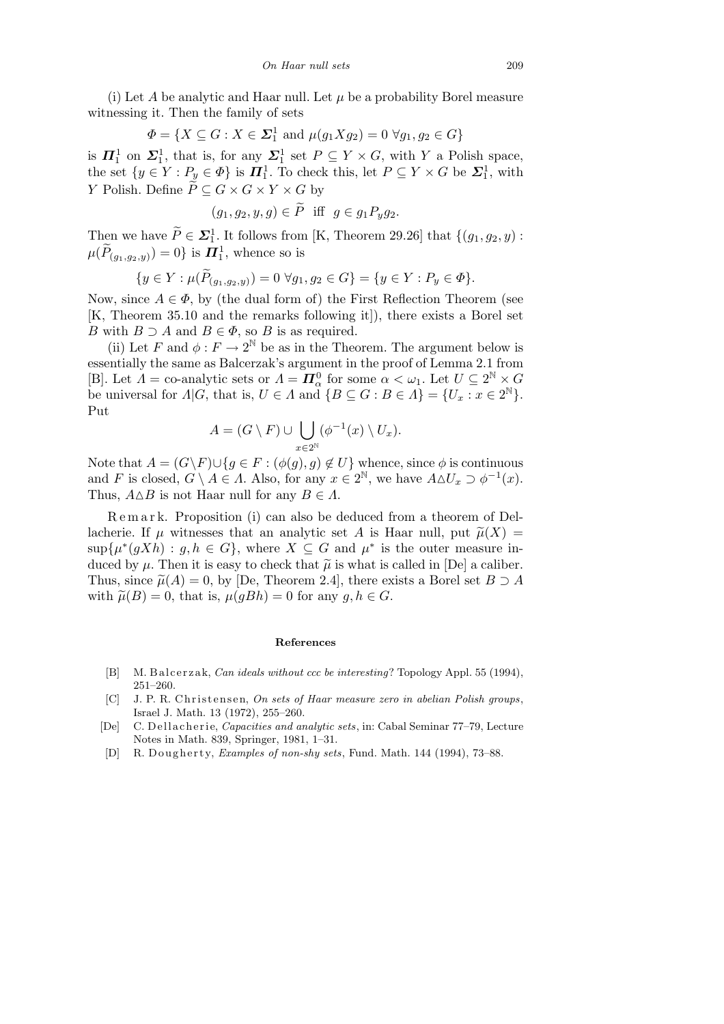(i) Let A be analytic and Haar null. Let  $\mu$  be a probability Borel measure witnessing it. Then the family of sets

$$
\Phi = \{ X \subseteq G : X \in \Sigma_1^1 \text{ and } \mu(g_1 X g_2) = 0 \,\,\forall g_1, g_2 \in G \}
$$

is  $\Pi_1^1$  on  $\Sigma_1^1$ , that is, for any  $\Sigma_1^1$  set  $P \subseteq Y \times G$ , with *Y* a Polish space, the set  $\{y \in Y : P_y \in \Phi\}$  is  $\Pi_1^1$ . To check this, let  $P \subseteq Y \times G$  be  $\Sigma_1^1$ , with *Y* Polish. Define  $\widetilde{P} \subseteq G \times G \times Y \times G$  by

$$
(g_1, g_2, y, g) \in \widetilde{P}
$$
 iff  $g \in g_1 P_y g_2$ .

Then we have  $\widetilde{P} \in \mathcal{L}_1^1$ . It follows from [K, Theorem 29.26] that  $\{(g_1, g_2, y)$ :  $\mu(\widetilde{P}_{(g_1,g_2,y)})=0\}$  is  $\Pi^1_1$ , whence so is

$$
\{y\in Y: \mu(\widetilde{P}_{(g_1, g_2, y)})=0\; \forall g_1, g_2\in G\}=\{y\in Y: P_y\in \varPhi\}.
$$

Now, since  $A \in \Phi$ , by (the dual form of) the First Reflection Theorem (see [K, Theorem 35.10 and the remarks following it]), there exists a Borel set *B* with  $B \supset A$  and  $B \in \Phi$ , so *B* is as required.

(ii) Let *F* and  $\phi: F \to 2^{\mathbb{N}}$  be as in the Theorem. The argument below is essentially the same as Balcerzak's argument in the proof of Lemma 2.1 from [B]. Let  $\Lambda =$  co-analytic sets or  $\Lambda = \mathbf{\Pi}^0_\alpha$  for some  $\alpha < \omega_1$ . Let  $U \subseteq 2^{\mathbb{N}} \times G$ be universal for  $\Lambda | G$ , that is,  $U \in \Lambda$  and  $\{B \subseteq G : B \in \Lambda\} = \{U_x : x \in 2^{\mathbb{N}}\}.$ Put  $\mathbf{r}$ 

$$
A = (G \setminus F) \cup \bigcup_{x \in 2^{\mathbb{N}}} (\phi^{-1}(x) \setminus U_x).
$$

Note that  $A = (G \ F) \cup \{ g \in F : (\phi(g), g) \notin U \}$  whence, since  $\phi$  is continuous and *F* is closed,  $G \setminus A \in \Lambda$ . Also, for any  $x \in 2^{\mathbb{N}}$ , we have  $A \Delta U_x \supset \phi^{-1}(x)$ . Thus,  $A \triangle B$  is not Haar null for any  $B \in \Lambda$ .

Remark. Proposition (i) can also be deduced from a theorem of Dellacherie. If  $\mu$  witnesses that an analytic set *A* is Haar null, put  $\tilde{\mu}(X)$  =  $\sup\{\mu^*(gXh): g, h \in G\}$ , where  $X \subseteq G$  and  $\mu^*$  is the outer measure induced by  $\mu$ . Then it is easy to check that  $\tilde{\mu}$  is what is called in [De] a caliber. Thus, since  $\tilde{\mu}(A) = 0$ , by [De, Theorem 2.4], there exists a Borel set  $B \supset A$ with  $\tilde{\mu}(B) = 0$ , that is,  $\mu(gBh) = 0$  for any  $g, h \in G$ .

## **References**

- [B] M. B alcerzak, *Can ideals without ccc be interesting*? Topology Appl. 55 (1994), 251–260.
- [C] J. P. R. Christensen, *On sets of Haar measure zero in abelian Polish groups*, Israel J. Math. 13 (1972), 255–260.
- [De] C. D ell a cherie, *Capacities and analytic sets*, in: Cabal Seminar 77–79, Lecture Notes in Math. 839, Springer, 1981, 1–31.
- [D] R. Dougherty, *Examples of non-shy sets*, Fund. Math. 144 (1994), 73–88.